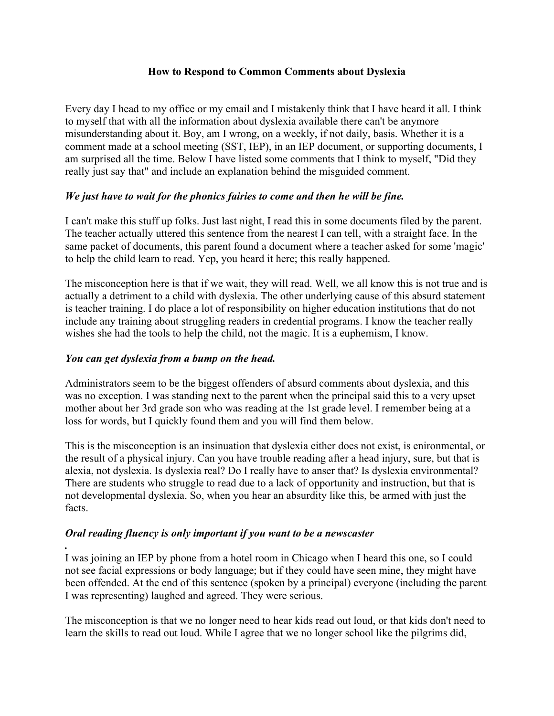## **How to Respond to Common Comments about Dyslexia**

Every day I head to my office or my email and I mistakenly think that I have heard it all. I think to myself that with all the information about dyslexia available there can't be anymore misunderstanding about it. Boy, am I wrong, on a weekly, if not daily, basis. Whether it is a comment made at a school meeting (SST, IEP), in an IEP document, or supporting documents, I am surprised all the time. Below I have listed some comments that I think to myself, "Did they really just say that" and include an explanation behind the misguided comment.

## *We just have to wait for the phonics fairies to come and then he will be fine.*

I can't make this stuff up folks. Just last night, I read this in some documents filed by the parent. The teacher actually uttered this sentence from the nearest I can tell, with a straight face. In the same packet of documents, this parent found a document where a teacher asked for some 'magic' to help the child learn to read. Yep, you heard it here; this really happened.

The misconception here is that if we wait, they will read. Well, we all know this is not true and is actually a detriment to a child with dyslexia. The other underlying cause of this absurd statement is teacher training. I do place a lot of responsibility on higher education institutions that do not include any training about struggling readers in credential programs. I know the teacher really wishes she had the tools to help the child, not the magic. It is a euphemism, I know.

## *You can get dyslexia from a bump on the head.*

*.* 

Administrators seem to be the biggest offenders of absurd comments about dyslexia, and this was no exception. I was standing next to the parent when the principal said this to a very upset mother about her 3rd grade son who was reading at the 1st grade level. I remember being at a loss for words, but I quickly found them and you will find them below.

This is the misconception is an insinuation that dyslexia either does not exist, is enironmental, or the result of a physical injury. Can you have trouble reading after a head injury, sure, but that is alexia, not dyslexia. Is dyslexia real? Do I really have to anser that? Is dyslexia environmental? There are students who struggle to read due to a lack of opportunity and instruction, but that is not developmental dyslexia. So, when you hear an absurdity like this, be armed with just the facts.

## *Oral reading fluency is only important if you want to be a newscaster*

I was joining an IEP by phone from a hotel room in Chicago when I heard this one, so I could not see facial expressions or body language; but if they could have seen mine, they might have been offended. At the end of this sentence (spoken by a principal) everyone (including the parent I was representing) laughed and agreed. They were serious.

The misconception is that we no longer need to hear kids read out loud, or that kids don't need to learn the skills to read out loud. While I agree that we no longer school like the pilgrims did,